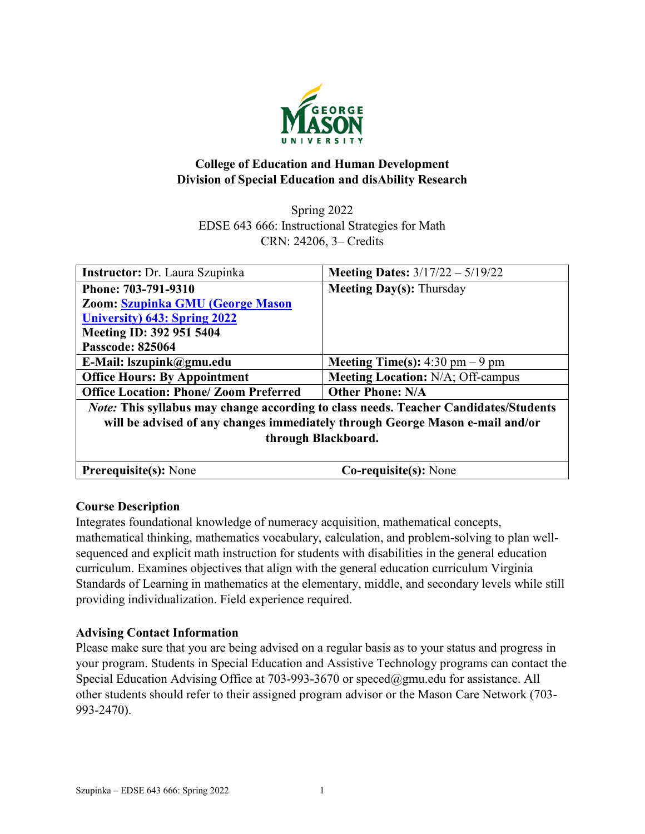

# **College of Education and Human Development Division of Special Education and disAbility Research**

Spring 2022 EDSE 643 666: Instructional Strategies for Math CRN: 24206, 3– Credits

| Instructor: Dr. Laura Szupinka                                                              | <b>Meeting Dates:</b> $3/17/22 - 5/19/22$ |  |  |  |
|---------------------------------------------------------------------------------------------|-------------------------------------------|--|--|--|
| Phone: 703-791-9310                                                                         | <b>Meeting Day(s): Thursday</b>           |  |  |  |
| Zoom: Szupinka GMU (George Mason                                                            |                                           |  |  |  |
| <b>University) 643: Spring 2022</b>                                                         |                                           |  |  |  |
| Meeting ID: 392 951 5404                                                                    |                                           |  |  |  |
| <b>Passcode: 825064</b>                                                                     |                                           |  |  |  |
| E-Mail: lszupink@gmu.edu                                                                    | <b>Meeting Time(s):</b> 4:30 pm $-9$ pm   |  |  |  |
| <b>Office Hours: By Appointment</b>                                                         | <b>Meeting Location: N/A; Off-campus</b>  |  |  |  |
| <b>Office Location: Phone/ Zoom Preferred</b>                                               | <b>Other Phone: N/A</b>                   |  |  |  |
| <i>Note:</i> This syllabus may change according to class needs. Teacher Candidates/Students |                                           |  |  |  |
| will be advised of any changes immediately through George Mason e-mail and/or               |                                           |  |  |  |
| through Blackboard.                                                                         |                                           |  |  |  |
|                                                                                             |                                           |  |  |  |
| <b>Prerequisite(s): None</b>                                                                | Co-requisite(s): None                     |  |  |  |

# **Course Description**

Integrates foundational knowledge of numeracy acquisition, mathematical concepts, mathematical thinking, mathematics vocabulary, calculation, and problem-solving to plan wellsequenced and explicit math instruction for students with disabilities in the general education curriculum. Examines objectives that align with the general education curriculum Virginia Standards of Learning in mathematics at the elementary, middle, and secondary levels while still providing individualization. Field experience required.

# **Advising Contact Information**

Please make sure that you are being advised on a regular basis as to your status and progress in your program. Students in Special Education and Assistive Technology programs can contact the Special Education Advising Office at 703-993-3670 or [speced@gmu.edu](mailto:speced@gmu.edu) for assistance. All other students should refer to their assigned program advisor or the Mason Care Network (703- 993-2470).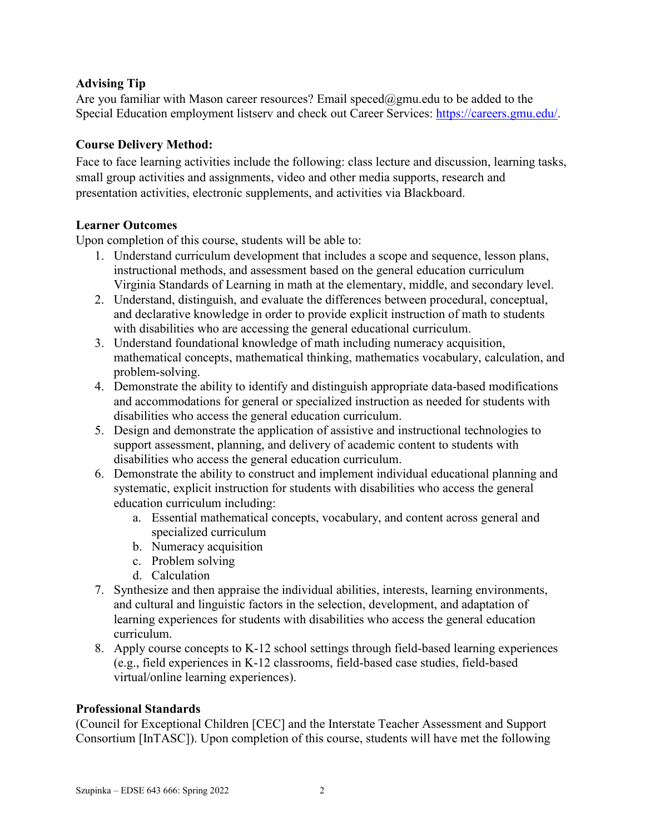# **Advising Tip**

Are you familiar with Mason career resources? Email speced@gmu.edu to be added to the Special Education employment listserv and check out Career Services: [https://careers.gmu.edu/.](https://careers.gmu.edu/)

# **Course Delivery Method:**

Face to face learning activities include the following: class lecture and discussion, learning tasks, small group activities and assignments, video and other media supports, research and presentation activities, electronic supplements, and activities via Blackboard.

# **Learner Outcomes**

Upon completion of this course, students will be able to:

- 1. Understand curriculum development that includes a scope and sequence, lesson plans, instructional methods, and assessment based on the general education curriculum Virginia Standards of Learning in math at the elementary, middle, and secondary level.
- 2. Understand, distinguish, and evaluate the differences between procedural, conceptual, and declarative knowledge in order to provide explicit instruction of math to students with disabilities who are accessing the general educational curriculum.
- 3. Understand foundational knowledge of math including numeracy acquisition, mathematical concepts, mathematical thinking, mathematics vocabulary, calculation, and problem-solving.
- 4. Demonstrate the ability to identify and distinguish appropriate data-based modifications and accommodations for general or specialized instruction as needed for students with disabilities who access the general education curriculum.
- 5. Design and demonstrate the application of assistive and instructional technologies to support assessment, planning, and delivery of academic content to students with disabilities who access the general education curriculum.
- 6. Demonstrate the ability to construct and implement individual educational planning and systematic, explicit instruction for students with disabilities who access the general education curriculum including:
	- a. Essential mathematical concepts, vocabulary, and content across general and specialized curriculum
	- b. Numeracy acquisition
	- c. Problem solving
	- d. Calculation
- 7. Synthesize and then appraise the individual abilities, interests, learning environments, and cultural and linguistic factors in the selection, development, and adaptation of learning experiences for students with disabilities who access the general education curriculum.
- 8. Apply course concepts to K-12 school settings through field-based learning experiences (e.g., field experiences in K-12 classrooms, field-based case studies, field-based virtual/online learning experiences).

# **Professional Standards**

(Council for Exceptional Children [CEC] and the Interstate Teacher Assessment and Support Consortium [InTASC]). Upon completion of this course, students will have met the following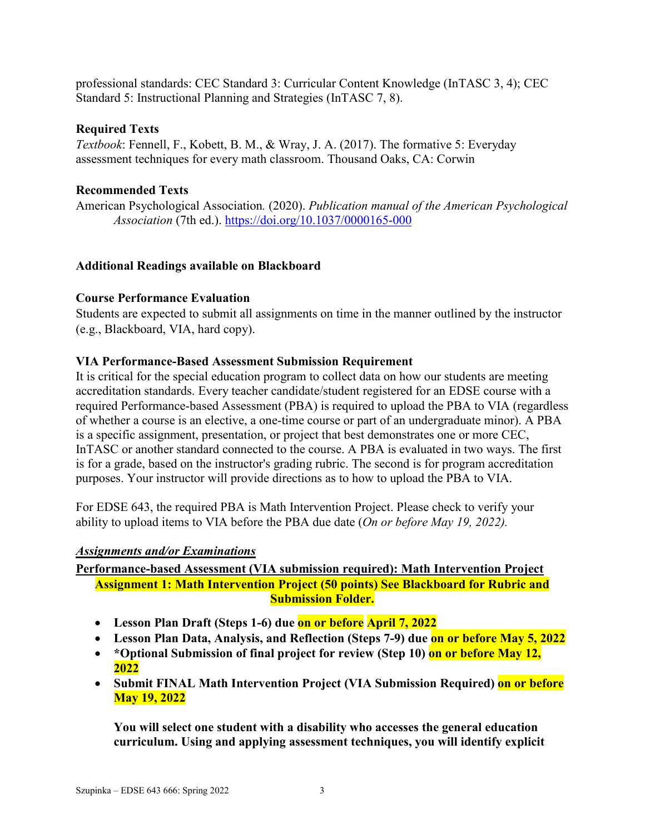professional standards: CEC Standard 3: Curricular Content Knowledge (InTASC 3, 4); CEC Standard 5: Instructional Planning and Strategies (InTASC 7, 8).

#### **Required Texts**

*Textbook*: Fennell, F., Kobett, B. M., & Wray, J. A. (2017). The formative 5: Everyday assessment techniques for every math classroom. Thousand Oaks, CA: Corwin

#### **Recommended Texts**

American Psychological Association*.* (2020). *Publication manual of the American Psychological Association* (7th ed.).<https://doi.org/10.1037/0000165-000>

#### **Additional Readings available on Blackboard**

#### **Course Performance Evaluation**

Students are expected to submit all assignments on time in the manner outlined by the instructor (e.g., Blackboard, VIA, hard copy).

#### **VIA Performance-Based Assessment Submission Requirement**

It is critical for the special education program to collect data on how our students are meeting accreditation standards. Every teacher candidate/student registered for an EDSE course with a required Performance-based Assessment (PBA) is required to upload the PBA to VIA (regardless of whether a course is an elective, a one-time course or part of an undergraduate minor). A PBA is a specific assignment, presentation, or project that best demonstrates one or more CEC, InTASC or another standard connected to the course. A PBA is evaluated in two ways. The first is for a grade, based on the instructor's grading rubric. The second is for program accreditation purposes. Your instructor will provide directions as to how to upload the PBA to VIA.

For EDSE 643, the required PBA is Math Intervention Project. Please check to verify your ability to upload items to VIA before the PBA due date (*On or before May 19, 2022).* 

#### *Assignments and/or Examinations*

**Performance-based Assessment (VIA submission required): Math Intervention Project Assignment 1: Math Intervention Project (50 points) See Blackboard for Rubric and Submission Folder.**

- **Lesson Plan Draft (Steps 1-6) due on or before April 7, 2022**
- Lesson Plan Data, Analysis, and Reflection (Steps 7-9) due on or before May 5, 2022
- \*Optional Submission of final project for review (Step 10) on or before May 12, **2022**
- **Submit FINAL Math Intervention Project (VIA Submission Required) on or before May 19, 2022**

**You will select one student with a disability who accesses the general education curriculum. Using and applying assessment techniques, you will identify explicit**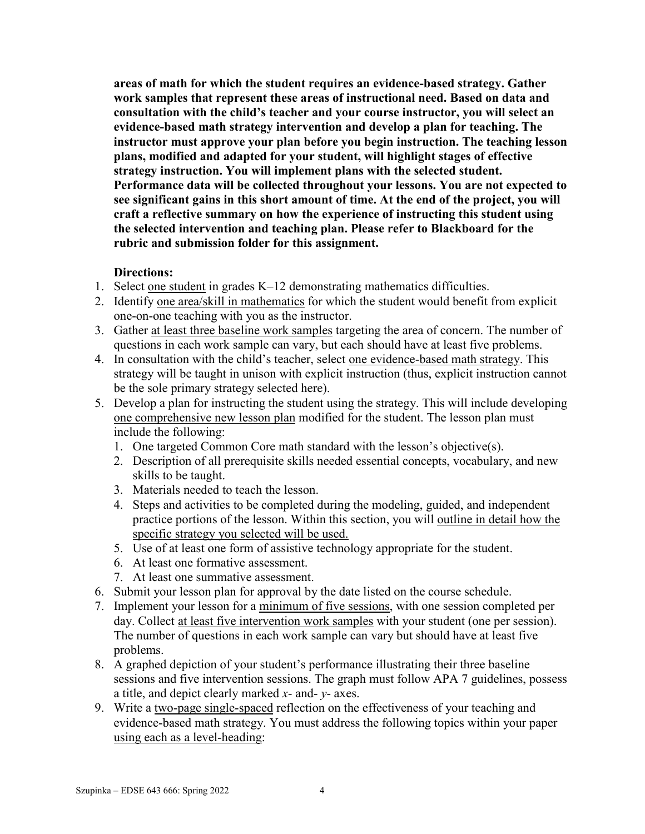**areas of math for which the student requires an evidence-based strategy. Gather work samples that represent these areas of instructional need. Based on data and consultation with the child's teacher and your course instructor, you will select an evidence-based math strategy intervention and develop a plan for teaching. The instructor must approve your plan before you begin instruction. The teaching lesson plans, modified and adapted for your student, will highlight stages of effective strategy instruction. You will implement plans with the selected student. Performance data will be collected throughout your lessons. You are not expected to see significant gains in this short amount of time. At the end of the project, you will craft a reflective summary on how the experience of instructing this student using the selected intervention and teaching plan. Please refer to Blackboard for the rubric and submission folder for this assignment.** 

#### **Directions:**

- 1. Select one student in grades K–12 demonstrating mathematics difficulties.
- 2. Identify one area/skill in mathematics for which the student would benefit from explicit one-on-one teaching with you as the instructor.
- 3. Gather at least three baseline work samples targeting the area of concern. The number of questions in each work sample can vary, but each should have at least five problems.
- 4. In consultation with the child's teacher, select one evidence-based math strategy. This strategy will be taught in unison with explicit instruction (thus, explicit instruction cannot be the sole primary strategy selected here).
- 5. Develop a plan for instructing the student using the strategy. This will include developing one comprehensive new lesson plan modified for the student. The lesson plan must include the following:
	- 1. One targeted Common Core math standard with the lesson's objective(s).
	- 2. Description of all prerequisite skills needed essential concepts, vocabulary, and new skills to be taught.
	- 3. Materials needed to teach the lesson.
	- 4. Steps and activities to be completed during the modeling, guided, and independent practice portions of the lesson. Within this section, you will outline in detail how the specific strategy you selected will be used.
	- 5. Use of at least one form of assistive technology appropriate for the student.
	- 6. At least one formative assessment.
	- 7. At least one summative assessment.
- 6. Submit your lesson plan for approval by the date listed on the course schedule.
- 7. Implement your lesson for a minimum of five sessions, with one session completed per day. Collect at least five intervention work samples with your student (one per session). The number of questions in each work sample can vary but should have at least five problems.
- 8. A graphed depiction of your student's performance illustrating their three baseline sessions and five intervention sessions. The graph must follow APA 7 guidelines, possess a title, and depict clearly marked *x-* and- *y*- axes.
- 9. Write a two-page single-spaced reflection on the effectiveness of your teaching and evidence-based math strategy. You must address the following topics within your paper using each as a level-heading: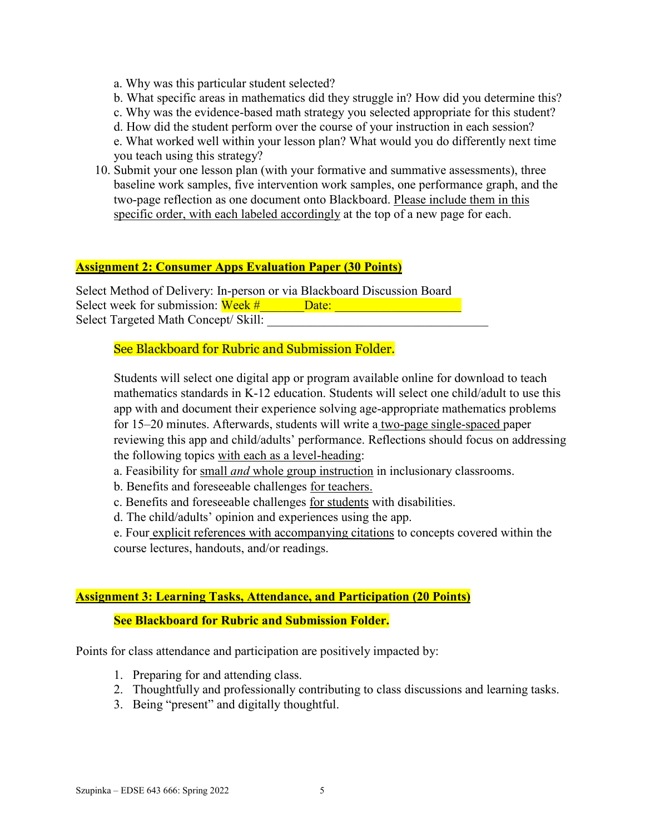a. Why was this particular student selected?

b. What specific areas in mathematics did they struggle in? How did you determine this?

c. Why was the evidence-based math strategy you selected appropriate for this student?

d. How did the student perform over the course of your instruction in each session?

e. What worked well within your lesson plan? What would you do differently next time you teach using this strategy?

10. Submit your one lesson plan (with your formative and summative assessments), three baseline work samples, five intervention work samples, one performance graph, and the two-page reflection as one document onto Blackboard. Please include them in this specific order, with each labeled accordingly at the top of a new page for each.

#### **Assignment 2: Consumer Apps Evaluation Paper (30 Points)**

Select Method of Delivery: In-person or via Blackboard Discussion Board Select week for submission: Week # \_\_\_\_\_\_Date: \_\_\_\_\_\_\_\_\_\_\_\_\_\_\_\_\_\_\_\_\_\_\_\_\_\_\_\_\_\_\_\_\_ Select Targeted Math Concept/ Skill:

#### See Blackboard for Rubric and Submission Folder.

Students will select one digital app or program available online for download to teach mathematics standards in K-12 education. Students will select one child/adult to use this app with and document their experience solving age-appropriate mathematics problems for 15–20 minutes. Afterwards, students will write a two-page single-spaced paper reviewing this app and child/adults' performance. Reflections should focus on addressing the following topics with each as a level-heading:

- a. Feasibility for small *and* whole group instruction in inclusionary classrooms.
- b. Benefits and foreseeable challenges for teachers.
- c. Benefits and foreseeable challenges for students with disabilities.
- d. The child/adults' opinion and experiences using the app.

e. Four explicit references with accompanying citations to concepts covered within the course lectures, handouts, and/or readings.

#### **Assignment 3: Learning Tasks, Attendance, and Participation (20 Points)**

#### **See Blackboard for Rubric and Submission Folder.**

Points for class attendance and participation are positively impacted by:

- 1. Preparing for and attending class.
- 2. Thoughtfully and professionally contributing to class discussions and learning tasks.
- 3. Being "present" and digitally thoughtful.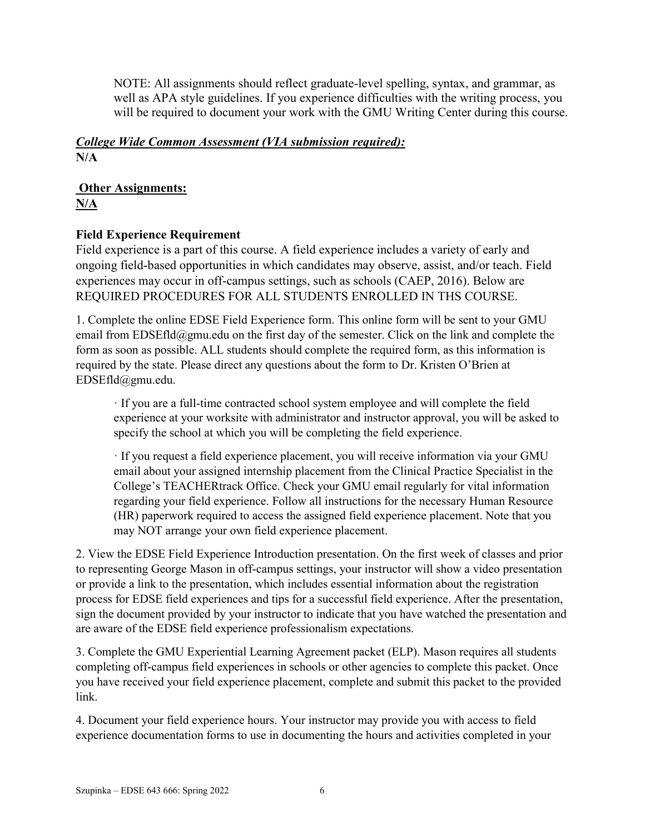NOTE: All assignments should reflect graduate-level spelling, syntax, and grammar, as well as APA style guidelines. If you experience difficulties with the writing process, you will be required to document your work with the GMU Writing Center during this course.

# *College Wide Common Assessment (VIA submission required):* **N/A**

# **Other Assignments:**

**N/A** 

# **Field Experience Requirement**

Field experience is a part of this course. A field experience includes a variety of early and ongoing field-based opportunities in which candidates may observe, assist, and/or teach. Field experiences may occur in off-campus settings, such as schools (CAEP, 2016). Below are REQUIRED PROCEDURES FOR ALL STUDENTS ENROLLED IN THS COURSE.

1. Complete the online EDSE Field Experience form. This online form will be sent to your GMU email from EDSEfld@gmu.edu on the first day of the semester. Click on the link and complete the form as soon as possible. ALL students should complete the required form, as this information is required by the state. Please direct any questions about the form to Dr. Kristen O'Brien at EDSEfld@gmu.edu.

· If you are a full-time contracted school system employee and will complete the field experience at your worksite with administrator and instructor approval, you will be asked to specify the school at which you will be completing the field experience.

· If you request a field experience placement, you will receive information via your GMU email about your assigned internship placement from the Clinical Practice Specialist in the College's TEACHERtrack Office. Check your GMU email regularly for vital information regarding your field experience. Follow all instructions for the necessary Human Resource (HR) paperwork required to access the assigned field experience placement. Note that you may NOT arrange your own field experience placement.

2. View the EDSE Field Experience Introduction presentation. On the first week of classes and prior to representing George Mason in off-campus settings, your instructor will show a video presentation or provide a link to the presentation, which includes essential information about the registration process for EDSE field experiences and tips for a successful field experience. After the presentation, sign the document provided by your instructor to indicate that you have watched the presentation and are aware of the EDSE field experience professionalism expectations.

3. Complete the GMU Experiential Learning Agreement packet (ELP). Mason requires all students completing off-campus field experiences in schools or other agencies to complete this packet. Once you have received your field experience placement, complete and submit this packet to the provided link.

4. Document your field experience hours. Your instructor may provide you with access to field experience documentation forms to use in documenting the hours and activities completed in your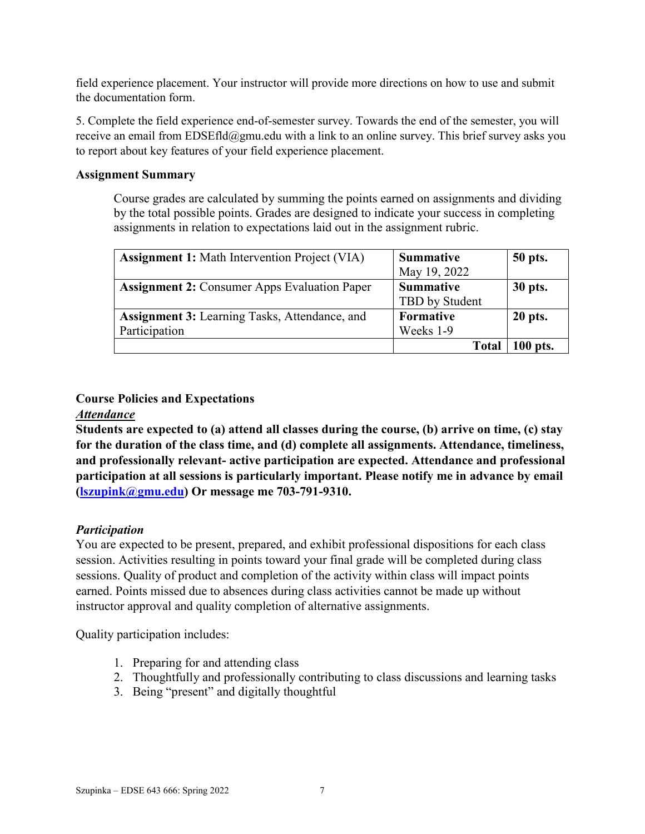field experience placement. Your instructor will provide more directions on how to use and submit the documentation form.

5. Complete the field experience end-of-semester survey. Towards the end of the semester, you will receive an email from EDSEfld@gmu.edu with a link to an online survey. This brief survey asks you to report about key features of your field experience placement.

#### **Assignment Summary**

Course grades are calculated by summing the points earned on assignments and dividing by the total possible points. Grades are designed to indicate your success in completing assignments in relation to expectations laid out in the assignment rubric.

| <b>Assignment 1:</b> Math Intervention Project (VIA) | <b>Summative</b> | 50 pts.  |
|------------------------------------------------------|------------------|----------|
|                                                      | May 19, 2022     |          |
| <b>Assignment 2: Consumer Apps Evaluation Paper</b>  | <b>Summative</b> | 30 pts.  |
|                                                      | TBD by Student   |          |
| <b>Assignment 3:</b> Learning Tasks, Attendance, and | Formative        | 20 pts.  |
| Participation                                        | Weeks 1-9        |          |
|                                                      | Total            | 100 pts. |

# **Course Policies and Expectations**

# *Attendance*

**Students are expected to (a) attend all classes during the course, (b) arrive on time, (c) stay for the duration of the class time, and (d) complete all assignments. Attendance, timeliness, and professionally relevant- active participation are expected. Attendance and professional participation at all sessions is particularly important. Please notify me in advance by email [\(lszupink@gmu.edu\)](mailto:lszupink@gmu.edu) Or message me 703-791-9310.** 

# *Participation*

You are expected to be present, prepared, and exhibit professional dispositions for each class session. Activities resulting in points toward your final grade will be completed during class sessions. Quality of product and completion of the activity within class will impact points earned. Points missed due to absences during class activities cannot be made up without instructor approval and quality completion of alternative assignments.

Quality participation includes:

- 1. Preparing for and attending class
- 2. Thoughtfully and professionally contributing to class discussions and learning tasks
- 3. Being "present" and digitally thoughtful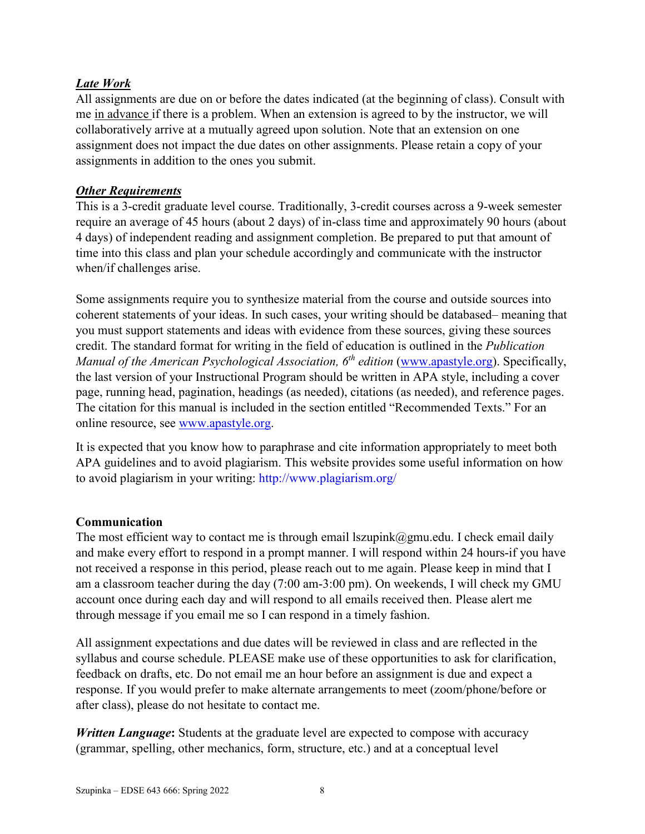# *Late Work*

All assignments are due on or before the dates indicated (at the beginning of class). Consult with me in advance if there is a problem. When an extension is agreed to by the instructor, we will collaboratively arrive at a mutually agreed upon solution. Note that an extension on one assignment does not impact the due dates on other assignments. Please retain a copy of your assignments in addition to the ones you submit.

# *Other Requirements*

This is a 3-credit graduate level course. Traditionally, 3-credit courses across a 9-week semester require an average of 45 hours (about 2 days) of in-class time and approximately 90 hours (about 4 days) of independent reading and assignment completion. Be prepared to put that amount of time into this class and plan your schedule accordingly and communicate with the instructor when/if challenges arise.

Some assignments require you to synthesize material from the course and outside sources into coherent statements of your ideas. In such cases, your writing should be databased– meaning that you must support statements and ideas with evidence from these sources, giving these sources credit. The standard format for writing in the field of education is outlined in the *Publication Manual of the American Psychological Association, 6th edition* [\(www.apastyle.org\)](http://www.apastyle.org/). Specifically, the last version of your Instructional Program should be written in APA style, including a cover page, running head, pagination, headings (as needed), citations (as needed), and reference pages. The citation for this manual is included in the section entitled "Recommended Texts." For an online resource, see [www.apastyle.org.](http://www.apastyle.org/)

It is expected that you know how to paraphrase and cite information appropriately to meet both APA guidelines and to avoid plagiarism. This website provides some useful information on how to avoid plagiarism in your writing: http://www.plagiarism.org/

# **Communication**

The most efficient way to contact me is through email lszupink $@g$ mu.edu. I check email daily and make every effort to respond in a prompt manner. I will respond within 24 hours-if you have not received a response in this period, please reach out to me again. Please keep in mind that I am a classroom teacher during the day (7:00 am-3:00 pm). On weekends, I will check my GMU account once during each day and will respond to all emails received then. Please alert me through message if you email me so I can respond in a timely fashion.

All assignment expectations and due dates will be reviewed in class and are reflected in the syllabus and course schedule. PLEASE make use of these opportunities to ask for clarification, feedback on drafts, etc. Do not email me an hour before an assignment is due and expect a response. If you would prefer to make alternate arrangements to meet (zoom/phone/before or after class), please do not hesitate to contact me.

*Written Language***:** Students at the graduate level are expected to compose with accuracy (grammar, spelling, other mechanics, form, structure, etc.) and at a conceptual level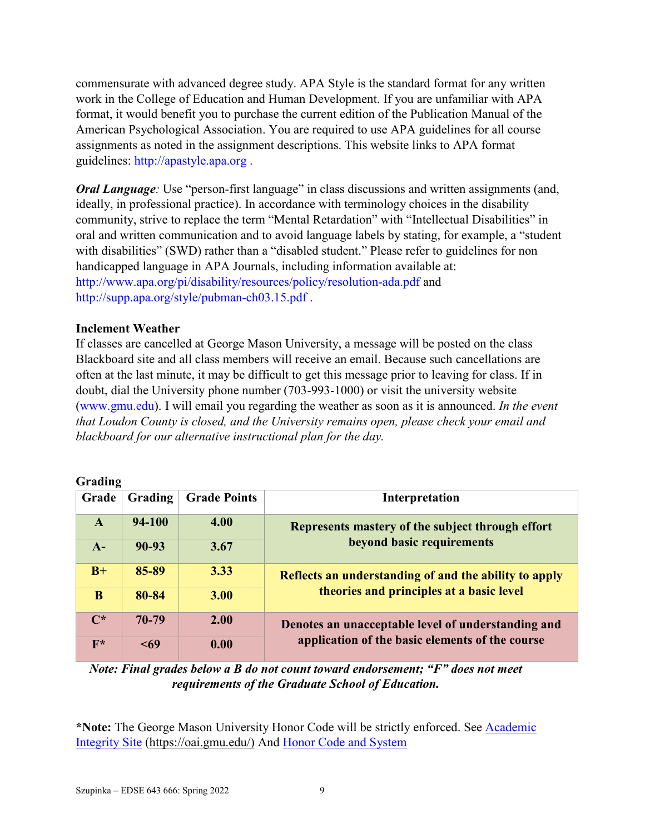commensurate with advanced degree study. APA Style is the standard format for any written work in the College of Education and Human Development. If you are unfamiliar with APA format, it would benefit you to purchase the current edition of the Publication Manual of the American Psychological Association. You are required to use APA guidelines for all course assignments as noted in the assignment descriptions. This website links to APA format guidelines: http://apastyle.apa.org .

*Oral Language*: Use "person-first language" in class discussions and written assignments (and, ideally, in professional practice). In accordance with terminology choices in the disability community, strive to replace the term "Mental Retardation" with "Intellectual Disabilities" in oral and written communication and to avoid language labels by stating, for example, a "student with disabilities" (SWD) rather than a "disabled student." Please refer to guidelines for non handicapped language in APA Journals, including information available at: http://www.apa.org/pi/disability/resources/policy/resolution-ada.pdf and http://supp.apa.org/style/pubman-ch03.15.pdf .

#### **Inclement Weather**

If classes are cancelled at George Mason University, a message will be posted on the class Blackboard site and all class members will receive an email. Because such cancellations are often at the last minute, it may be difficult to get this message prior to leaving for class. If in doubt, dial the University phone number (703-993-1000) or visit the university website (www.gmu.edu). I will email you regarding the weather as soon as it is announced. *In the event that Loudon County is closed, and the University remains open, please check your email and blackboard for our alternative instructional plan for the day.*

| Grading        |           |                     |                                                       |  |
|----------------|-----------|---------------------|-------------------------------------------------------|--|
| Grade          | Grading   | <b>Grade Points</b> | Interpretation                                        |  |
| $\mathbf{A}$   | 94-100    | 4.00                | Represents mastery of the subject through effort      |  |
| $A-$           | $90 - 93$ | 3.67                | beyond basic requirements                             |  |
| $B+$           | 85-89     | 3.33                | Reflects an understanding of and the ability to apply |  |
| B              | 80-84     | 3.00                | theories and principles at a basic level              |  |
| $\mathbb{C}^*$ | 70-79     | 2.00                | Denotes an unacceptable level of understanding and    |  |
| $F^*$          | <69       | 0.00                | application of the basic elements of the course       |  |

 $G_{\text{max}}$ **J<sub>2</sub>** 

*Note: Final grades below a B do not count toward endorsement; "F" does not meet requirements of the Graduate School of Education.*

**\*Note:** The George Mason University Honor Code will be strictly enforced. See [Academic](https://oai.gmu.edu/)  [Integrity Site \(https://oai.gmu.edu/\)](https://oai.gmu.edu/) And [Honor Code and System](https://catalog.gmu.edu/policies/honor-code-system/)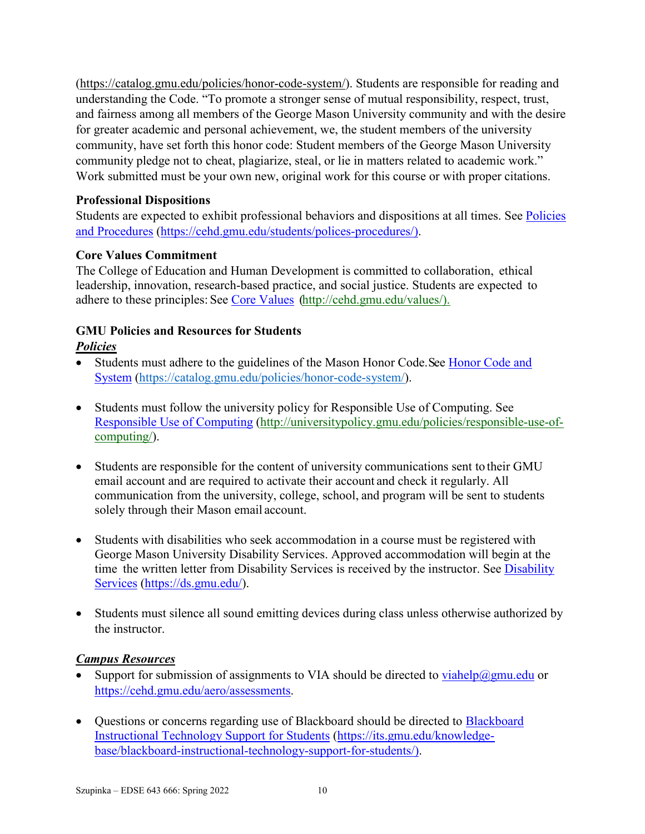[\(https://catalog.gmu.edu/policies/honor-code-system/\)](https://catalog.gmu.edu/policies/honor-code-system/). Students are responsible for reading and understanding the Code. "To promote a stronger sense of mutual responsibility, respect, trust, and fairness among all members of the George Mason University community and with the desire for greater academic and personal achievement, we, the student members of the university community, have set forth this honor code: Student members of the George Mason University community pledge not to cheat, plagiarize, steal, or lie in matters related to academic work." Work submitted must be your own new, original work for this course or with proper citations.

# **Professional Dispositions**

Students are expected to exhibit professional behaviors and dispositions at all times. See [Policies](https://cehd.gmu.edu/students/polices-procedures/)  [and Procedures \(https://cehd.gmu.edu/students/polices-procedures/\)](https://cehd.gmu.edu/students/polices-procedures/).

# **Core Values Commitment**

The College of Education and Human Development is committed to collaboration, ethical leadership, innovation, research-based practice, and social justice. Students are expected to adhere to these principles: See [Core Values \(http://cehd.gmu.edu/values/\)](http://cehd.gmu.edu/values/).

# **GMU Policies and Resources for Students**

# *Policies*

- Students must adhere to the guidelines of the Mason Honor Code. See Honor Code and [System \(https://catalog.gmu.edu/policies/honor-code-system/\)](https://catalog.gmu.edu/policies/honor-code-system/).
- Students must follow the university policy for Responsible Use of Computing. See [Responsible Use of Computing \(http://universitypolicy.gmu.edu/policies/responsible-use-of](http://universitypolicy.gmu.edu/policies/responsible-use-of-computing/)[computing/\)](http://universitypolicy.gmu.edu/policies/responsible-use-of-computing/).
- Students are responsible for the content of university communications sent to their GMU email account and are required to activate their account and check it regularly. All communication from the university, college, school, and program will be sent to students solely through their Mason email account.
- Students with disabilities who seek accommodation in a course must be registered with George Mason University Disability Services. Approved accommodation will begin at the time the written letter from [Disability](https://ds.gmu.edu/) Services is received by the instructor. See Disability [Services \(https://ds.gmu.edu/\)](https://ds.gmu.edu/).
- Students must silence all sound emitting devices during class unless otherwise authorized by the instructor.

# *Campus Resources*

- Support for submission of assignments to VIA should be directed to  $viahelp(\omega gmu.edu)$  or [https://cehd.gmu.edu/aero/assessments.](https://cehd.gmu.edu/aero/assessments)
- Questions or concerns regarding use of [Blackboard](https://its.gmu.edu/knowledge-base/blackboard-instructional-technology-support-for-students/) should be directed to Blackboard [Instructional Technology Support for Students \(https://its.gmu.edu/knowledge](https://its.gmu.edu/knowledge-base/blackboard-instructional-technology-support-for-students/)[base/blackboard-instructional-technology-support-for-students/\)](https://its.gmu.edu/knowledge-base/blackboard-instructional-technology-support-for-students/).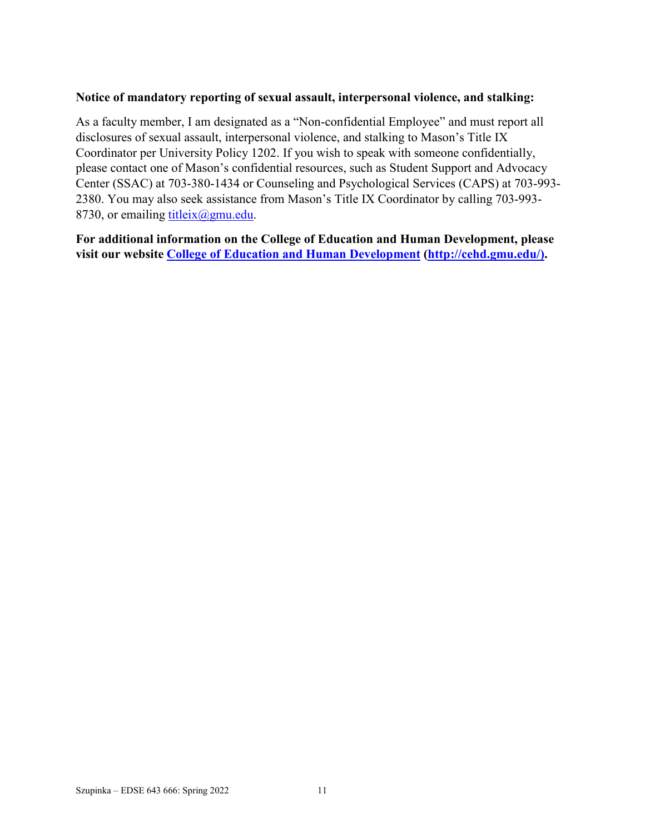#### **Notice of mandatory reporting of sexual assault, interpersonal violence, and stalking:**

As a faculty member, I am designated as a "Non-confidential Employee" and must report all disclosures of sexual assault, interpersonal violence, and stalking to Mason's Title IX Coordinator per University Policy 1202. If you wish to speak with someone confidentially, please contact one of Mason's confidential resources, such as Student Support and Advocacy Center (SSAC) at 703-380-1434 or Counseling and Psychological Services (CAPS) at 703-993- 2380. You may also seek assistance from Mason's Title IX Coordinator by calling 703-993- 8730, or emailing titleix $(\partial g$ mu.edu.

**For additional information on the College of Education and Human Development, please visit our website [College of Education and Human Development](http://cehd.gmu.edu/) [\(http://cehd.gmu.edu/\)](https://cehd.gmu.edu/).**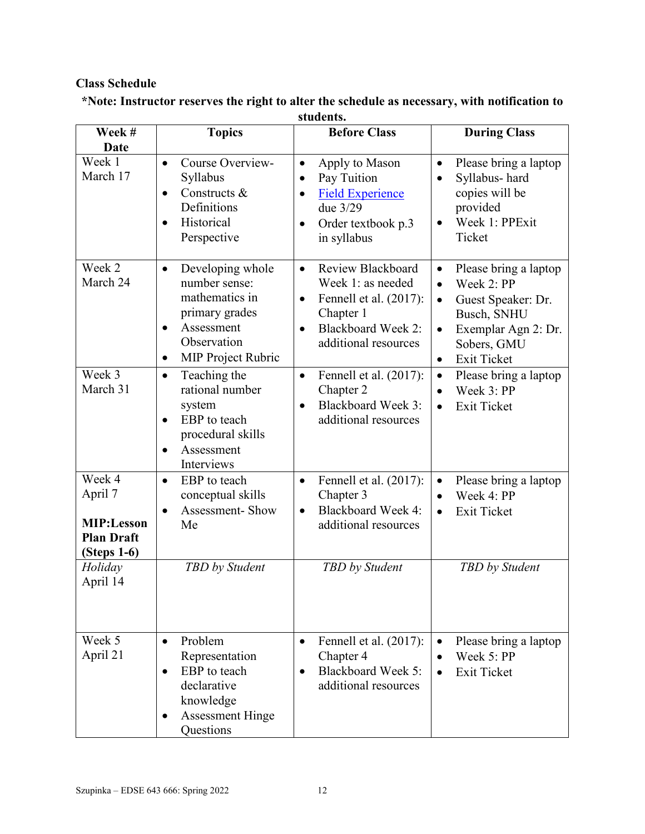# **Class Schedule**

| Week #                                                                                            | <b>Topics</b>                                                                                                                                                          | <b>Before Class</b>                                                                                                                                                       | <b>During Class</b>                                                                                                                                                                                   |
|---------------------------------------------------------------------------------------------------|------------------------------------------------------------------------------------------------------------------------------------------------------------------------|---------------------------------------------------------------------------------------------------------------------------------------------------------------------------|-------------------------------------------------------------------------------------------------------------------------------------------------------------------------------------------------------|
| <b>Date</b><br>Week 1<br>March 17                                                                 | Course Overview-<br>$\bullet$<br>Syllabus<br>Constructs &<br>$\bullet$<br>Definitions<br>Historical<br>Perspective                                                     | Apply to Mason<br>$\bullet$<br>Pay Tuition<br>$\bullet$<br><b>Field Experience</b><br>$\bullet$<br>due 3/29<br>Order textbook p.3<br>$\bullet$<br>in syllabus             | Please bring a laptop<br>$\bullet$<br>Syllabus-hard<br>copies will be<br>provided<br>Week 1: PPExit<br>Ticket                                                                                         |
| Week 2<br>March 24                                                                                | Developing whole<br>$\bullet$<br>number sense:<br>mathematics in<br>primary grades<br>Assessment<br>$\bullet$<br>Observation<br><b>MIP Project Rubric</b><br>$\bullet$ | Review Blackboard<br>$\bullet$<br>Week 1: as needed<br>Fennell et al. (2017):<br>$\bullet$<br>Chapter 1<br><b>Blackboard Week 2:</b><br>$\bullet$<br>additional resources | Please bring a laptop<br>$\bullet$<br>Week 2: PP<br>$\bullet$<br>Guest Speaker: Dr.<br>$\bullet$<br>Busch, SNHU<br>Exemplar Agn 2: Dr.<br>$\bullet$<br>Sobers, GMU<br><b>Exit Ticket</b><br>$\bullet$ |
| Week 3<br>March 31                                                                                | Teaching the<br>$\bullet$<br>rational number<br>system<br>EBP to teach<br>$\bullet$<br>procedural skills<br>Assessment<br>Interviews                                   | Fennell et al. (2017):<br>$\bullet$<br>Chapter 2<br><b>Blackboard Week 3:</b><br>$\bullet$<br>additional resources                                                        | Please bring a laptop<br>$\bullet$<br>Week 3: PP<br><b>Exit Ticket</b>                                                                                                                                |
| Week 4<br>April 7<br><b>MIP:Lesson</b><br><b>Plan Draft</b><br>(Steps 1-6)<br>Holiday<br>April 14 | EBP to teach<br>$\bullet$<br>conceptual skills<br>Assessment-Show<br>$\bullet$<br>Me<br>TBD by Student                                                                 | Fennell et al. (2017):<br>$\bullet$<br>Chapter 3<br><b>Blackboard Week 4:</b><br>$\bullet$<br>additional resources<br>TBD by Student                                      | Please bring a laptop<br>$\bullet$<br>Week 4: PP<br>$\bullet$<br><b>Exit Ticket</b><br>$\bullet$<br>TBD by Student                                                                                    |
| Week 5<br>April 21                                                                                | Problem<br>$\bullet$<br>Representation<br>EBP to teach<br>declarative<br>knowledge<br><b>Assessment Hinge</b>                                                          | Fennell et al. $(2017)$ :<br>$\bullet$<br>Chapter 4<br><b>Blackboard Week 5:</b><br>additional resources                                                                  | Please bring a laptop<br>Week 5: PP<br><b>Exit Ticket</b>                                                                                                                                             |

#### **\*Note: Instructor reserves the right to alter the schedule as necessary, with notification to students.**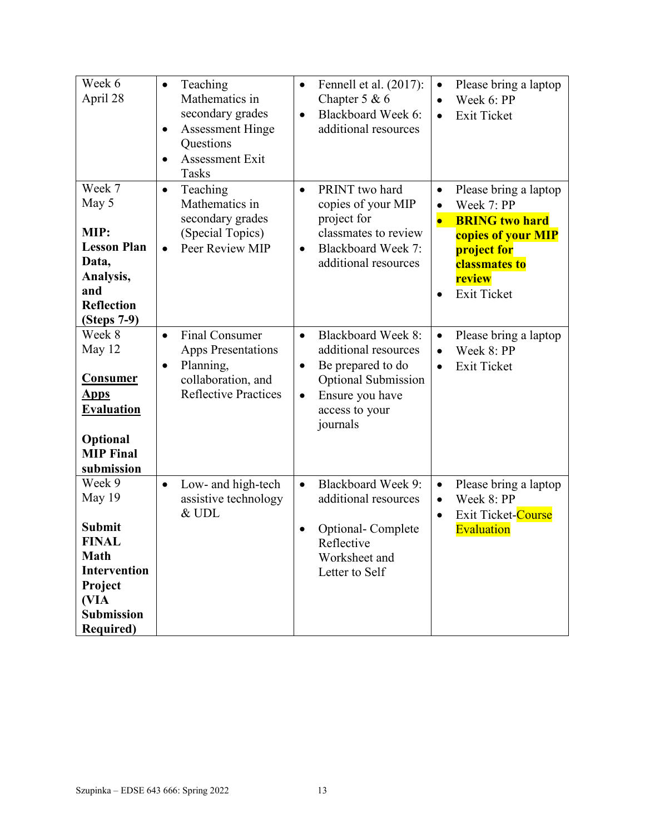| Week 6<br>April 28                                                                                                                                  | Teaching<br>$\bullet$<br>Mathematics in<br>secondary grades<br><b>Assessment Hinge</b><br>$\bullet$<br>Questions<br>Assessment Exit<br>$\bullet$<br>Tasks | Fennell et al. (2017):<br>$\bullet$<br>Chapter $5 & 6$<br>Blackboard Week 6:<br>$\bullet$<br>additional resources                                                                            | Please bring a laptop<br>$\bullet$<br>Week 6: PP<br>$\bullet$<br><b>Exit Ticket</b><br>$\bullet$                                                                                   |
|-----------------------------------------------------------------------------------------------------------------------------------------------------|-----------------------------------------------------------------------------------------------------------------------------------------------------------|----------------------------------------------------------------------------------------------------------------------------------------------------------------------------------------------|------------------------------------------------------------------------------------------------------------------------------------------------------------------------------------|
| Week 7<br>May 5<br>MIP:<br><b>Lesson Plan</b><br>Data,<br>Analysis,<br>and<br><b>Reflection</b><br>(Steps 7-9)                                      | Teaching<br>$\bullet$<br>Mathematics in<br>secondary grades<br>(Special Topics)<br>Peer Review MIP<br>$\bullet$                                           | PRINT two hard<br>$\bullet$<br>copies of your MIP<br>project for<br>classmates to review<br><b>Blackboard Week 7:</b><br>$\bullet$<br>additional resources                                   | Please bring a laptop<br>$\bullet$<br>Week 7: PP<br>$\bullet$<br><b>BRING two hard</b><br>$\bullet$<br>copies of your MIP<br>project for<br>classmates to<br>review<br>Exit Ticket |
| Week 8<br>May 12<br>Consumer<br><u>Apps</u><br><b>Evaluation</b><br>Optional<br><b>MIP</b> Final<br>submission                                      | <b>Final Consumer</b><br>$\bullet$<br><b>Apps Presentations</b><br>Planning,<br>$\bullet$<br>collaboration, and<br><b>Reflective Practices</b>            | <b>Blackboard Week 8:</b><br>$\bullet$<br>additional resources<br>Be prepared to do<br>$\bullet$<br><b>Optional Submission</b><br>Ensure you have<br>$\bullet$<br>access to your<br>journals | Please bring a laptop<br>$\bullet$<br>Week 8: PP<br>$\bullet$<br><b>Exit Ticket</b><br>$\bullet$                                                                                   |
| Week 9<br>May 19<br><b>Submit</b><br><b>FINAL</b><br><b>Math</b><br><b>Intervention</b><br>Project<br>(VIA<br><b>Submission</b><br><b>Required)</b> | Low- and high-tech<br>$\bullet$<br>assistive technology<br>& UDL                                                                                          | <b>Blackboard Week 9:</b><br>$\bullet$<br>additional resources<br>Optional-Complete<br>Reflective<br>Worksheet and<br>Letter to Self                                                         | Please bring a laptop<br>$\bullet$<br>Week 8: PP<br>$\bullet$<br>Exit Ticket-Course<br>$\bullet$<br>Evaluation                                                                     |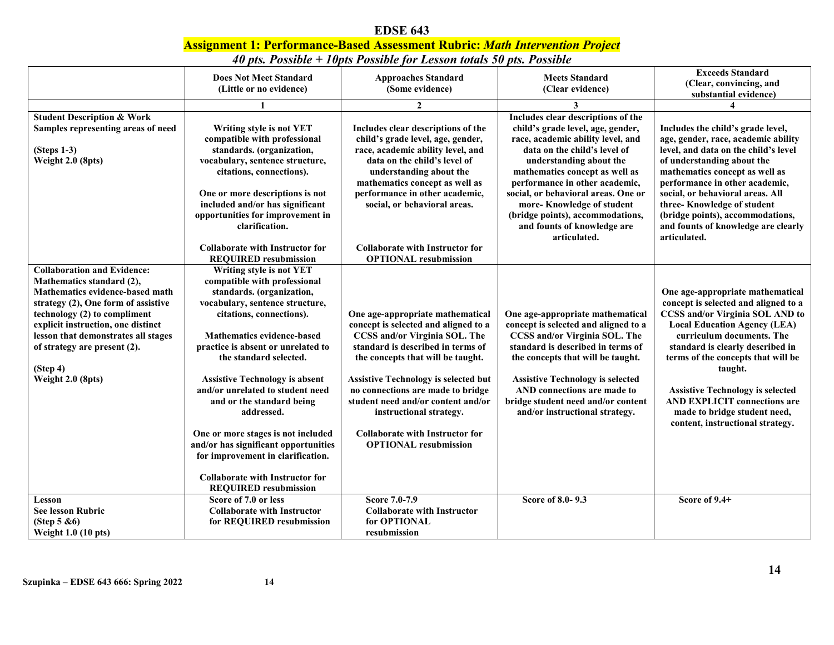#### **EDSE 643 Assignment 1: Performance-Based Assessment Rubric:** *Math Intervention Project 40 pts. Possible + 10pts Possible for Lesson totals 50 pts. Possible*

|                                       | <b>Does Not Meet Standard</b>          | <b>Approaches Standard</b>                  | <b>Meets Standard</b>                   | <b>Exceeds Standard</b>                 |
|---------------------------------------|----------------------------------------|---------------------------------------------|-----------------------------------------|-----------------------------------------|
|                                       | (Little or no evidence)                | (Some evidence)                             | (Clear evidence)                        | (Clear, convincing, and                 |
|                                       |                                        |                                             |                                         | substantial evidence)                   |
|                                       |                                        | $\mathbf{2}$                                | 3                                       | $\boldsymbol{\Lambda}$                  |
| <b>Student Description &amp; Work</b> |                                        |                                             | Includes clear descriptions of the      |                                         |
| Samples representing areas of need    | Writing style is not YET               | Includes clear descriptions of the          | child's grade level, age, gender,       | Includes the child's grade level,       |
|                                       | compatible with professional           | child's grade level, age, gender,           | race, academic ability level, and       | age, gender, race, academic ability     |
| $(Steps 1-3)$                         | standards. (organization,              | race, academic ability level, and           | data on the child's level of            | level, and data on the child's level    |
| Weight 2.0 (8pts)                     | vocabulary, sentence structure,        | data on the child's level of                | understanding about the                 | of understanding about the              |
|                                       | citations, connections).               | understanding about the                     | mathematics concept as well as          | mathematics concept as well as          |
|                                       |                                        | mathematics concept as well as              | performance in other academic,          | performance in other academic,          |
|                                       | One or more descriptions is not        | performance in other academic,              | social, or behavioral areas. One or     | social, or behavioral areas. All        |
|                                       | included and/or has significant        | social, or behavioral areas.                | more-Knowledge of student               | three-Knowledge of student              |
|                                       | opportunities for improvement in       |                                             | (bridge points), accommodations,        | (bridge points), accommodations,        |
|                                       | clarification.                         |                                             | and founts of knowledge are             | and founts of knowledge are clearly     |
|                                       |                                        |                                             | articulated.                            | articulated.                            |
|                                       | <b>Collaborate with Instructor for</b> | <b>Collaborate with Instructor for</b>      |                                         |                                         |
|                                       | <b>REQUIRED</b> resubmission           | <b>OPTIONAL</b> resubmission                |                                         |                                         |
| <b>Collaboration and Evidence:</b>    | Writing style is not YET               |                                             |                                         |                                         |
| Mathematics standard (2),             | compatible with professional           |                                             |                                         |                                         |
| Mathematics evidence-based math       | standards. (organization,              |                                             |                                         | One age-appropriate mathematical        |
| strategy (2), One form of assistive   | vocabulary, sentence structure,        |                                             |                                         | concept is selected and aligned to a    |
| technology (2) to compliment          | citations, connections).               | One age-appropriate mathematical            | One age-appropriate mathematical        | <b>CCSS and/or Virginia SOL AND to</b>  |
| explicit instruction, one distinct    |                                        | concept is selected and aligned to a        | concept is selected and aligned to a    | <b>Local Education Agency (LEA)</b>     |
| lesson that demonstrates all stages   | <b>Mathematics evidence-based</b>      | CCSS and/or Virginia SOL. The               | CCSS and/or Virginia SOL. The           | curriculum documents. The               |
| of strategy are present (2).          | practice is absent or unrelated to     | standard is described in terms of           | standard is described in terms of       | standard is clearly described in        |
|                                       | the standard selected.                 | the concepts that will be taught.           | the concepts that will be taught.       | terms of the concepts that will be      |
| (Stop 4)                              |                                        |                                             |                                         | taught.                                 |
| Weight 2.0 (8pts)                     | <b>Assistive Technology is absent</b>  | <b>Assistive Technology is selected but</b> | <b>Assistive Technology is selected</b> |                                         |
|                                       | and/or unrelated to student need       | no connections are made to bridge           | AND connections are made to             | <b>Assistive Technology is selected</b> |
|                                       | and or the standard being              | student need and/or content and/or          | bridge student need and/or content      | <b>AND EXPLICIT connections are</b>     |
|                                       | addressed.                             | instructional strategy.                     | and/or instructional strategy.          | made to bridge student need,            |
|                                       |                                        |                                             |                                         | content, instructional strategy.        |
|                                       | One or more stages is not included     | <b>Collaborate with Instructor for</b>      |                                         |                                         |
|                                       | and/or has significant opportunities   | <b>OPTIONAL resubmission</b>                |                                         |                                         |
|                                       | for improvement in clarification.      |                                             |                                         |                                         |
|                                       |                                        |                                             |                                         |                                         |
|                                       | <b>Collaborate with Instructor for</b> |                                             |                                         |                                         |
|                                       | <b>REQUIRED</b> resubmission           |                                             |                                         |                                         |
| Lesson                                | Score of 7.0 or less                   | Score 7.0-7.9                               | Score of 8.0-9.3                        | Score of 9.4+                           |
| <b>See lesson Rubric</b>              | <b>Collaborate with Instructor</b>     | <b>Collaborate with Instructor</b>          |                                         |                                         |
| (Step $5 & 6$ )                       | for REQUIRED resubmission              | for OPTIONAL                                |                                         |                                         |
| <b>Weight 1.0 (10 pts)</b>            |                                        | resubmission                                |                                         |                                         |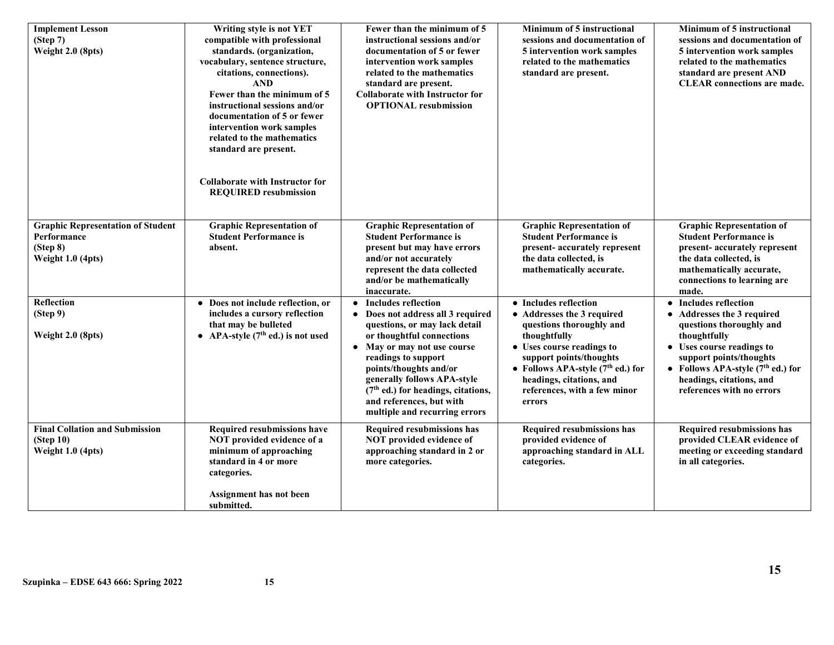| <b>Implement Lesson</b><br>(Stop 7)<br>Weight 2.0 (8pts)                                   | Writing style is not YET<br>compatible with professional<br>standards. (organization,<br>vocabulary, sentence structure,<br>citations, connections).<br><b>AND</b><br>Fewer than the minimum of 5<br>instructional sessions and/or<br>documentation of 5 or fewer<br>intervention work samples<br>related to the mathematics<br>standard are present.<br><b>Collaborate with Instructor for</b><br><b>REQUIRED resubmission</b> | Fewer than the minimum of 5<br>instructional sessions and/or<br>documentation of 5 or fewer<br>intervention work samples<br>related to the mathematics<br>standard are present.<br><b>Collaborate with Instructor for</b><br><b>OPTIONAL</b> resubmission                                                                                                                    | Minimum of 5 instructional<br>sessions and documentation of<br>5 intervention work samples<br>related to the mathematics<br>standard are present.                                                                                                                    | Minimum of 5 instructional<br>sessions and documentation of<br>5 intervention work samples<br>related to the mathematics<br>standard are present AND<br><b>CLEAR</b> connections are made.                                                              |
|--------------------------------------------------------------------------------------------|---------------------------------------------------------------------------------------------------------------------------------------------------------------------------------------------------------------------------------------------------------------------------------------------------------------------------------------------------------------------------------------------------------------------------------|------------------------------------------------------------------------------------------------------------------------------------------------------------------------------------------------------------------------------------------------------------------------------------------------------------------------------------------------------------------------------|----------------------------------------------------------------------------------------------------------------------------------------------------------------------------------------------------------------------------------------------------------------------|---------------------------------------------------------------------------------------------------------------------------------------------------------------------------------------------------------------------------------------------------------|
| <b>Graphic Representation of Student</b><br>Performance<br>(Stop 8)<br>Weight $1.0$ (4pts) | <b>Graphic Representation of</b><br><b>Student Performance is</b><br>absent.                                                                                                                                                                                                                                                                                                                                                    | <b>Graphic Representation of</b><br><b>Student Performance is</b><br>present but may have errors<br>and/or not accurately<br>represent the data collected<br>and/or be mathematically<br>inaccurate.                                                                                                                                                                         | <b>Graphic Representation of</b><br><b>Student Performance is</b><br>present- accurately represent<br>the data collected, is<br>mathematically accurate.                                                                                                             | <b>Graphic Representation of</b><br><b>Student Performance is</b><br>present- accurately represent<br>the data collected, is<br>mathematically accurate,<br>connections to learning are<br>made.                                                        |
| Reflection<br>(Step 9)<br>Weight 2.0 (8pts)                                                | • Does not include reflection, or<br>includes a cursory reflection<br>that may be bulleted<br>• APA-style $(7th$ ed.) is not used                                                                                                                                                                                                                                                                                               | • Includes reflection<br>Does not address all 3 required<br>$\bullet$<br>questions, or may lack detail<br>or thoughtful connections<br>May or may not use course<br>$\bullet$<br>readings to support<br>points/thoughts and/or<br>generally follows APA-style<br>(7 <sup>th</sup> ed.) for headings, citations,<br>and references, but with<br>multiple and recurring errors | • Includes reflection<br>• Addresses the 3 required<br>questions thoroughly and<br>thoughtfully<br>• Uses course readings to<br>support points/thoughts<br>• Follows APA-style $(7th$ ed.) for<br>headings, citations, and<br>references, with a few minor<br>errors | • Includes reflection<br>• Addresses the 3 required<br>questions thoroughly and<br>thoughtfully<br>• Uses course readings to<br>support points/thoughts<br>• Follows APA-style $(7th$ ed.) for<br>headings, citations, and<br>references with no errors |
| <b>Final Collation and Submission</b><br>(Step 10)<br>Weight 1.0 (4pts)                    | Required resubmissions have<br>NOT provided evidence of a<br>minimum of approaching<br>standard in 4 or more<br>categories.<br>Assignment has not been<br>submitted.                                                                                                                                                                                                                                                            | Required resubmissions has<br>NOT provided evidence of<br>approaching standard in 2 or<br>more categories.                                                                                                                                                                                                                                                                   | Required resubmissions has<br>provided evidence of<br>approaching standard in ALL<br>categories.                                                                                                                                                                     | Required resubmissions has<br>provided CLEAR evidence of<br>meeting or exceeding standard<br>in all categories.                                                                                                                                         |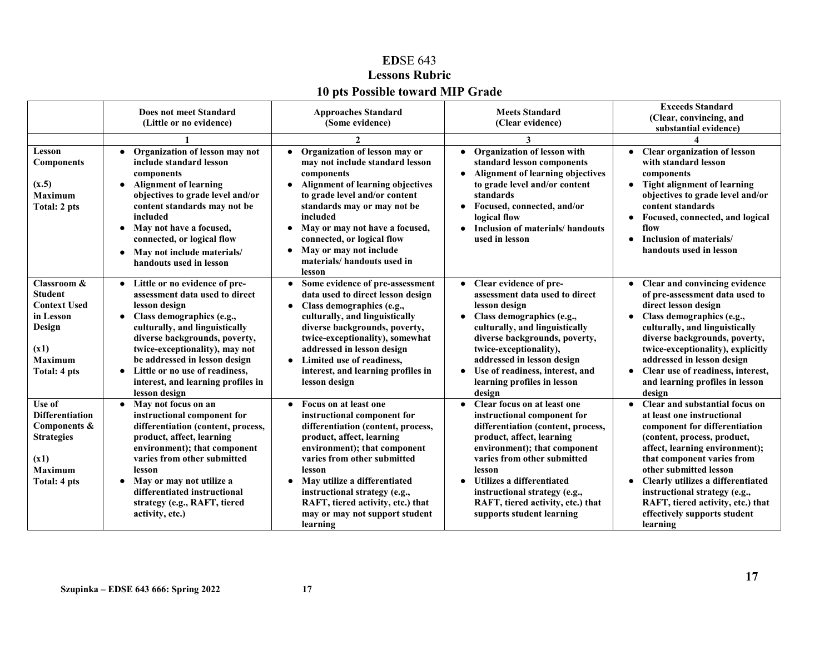# **ED**SE 643 **Lessons Rubric 10 pts Possible toward MIP Grade**

|                                                                                                                       | Does not meet Standard<br>(Little or no evidence)                                                                                                                                                                                                                                                                                                                      | <b>Approaches Standard</b><br>(Some evidence)                                                                                                                                                                                                                                                                                                                                  | <b>Meets Standard</b><br>(Clear evidence)<br>3                                                                                                                                                                                                                                                                                                      | <b>Exceeds Standard</b><br>(Clear, convincing, and<br>substantial evidence)                                                                                                                                                                                                                                                                                                     |
|-----------------------------------------------------------------------------------------------------------------------|------------------------------------------------------------------------------------------------------------------------------------------------------------------------------------------------------------------------------------------------------------------------------------------------------------------------------------------------------------------------|--------------------------------------------------------------------------------------------------------------------------------------------------------------------------------------------------------------------------------------------------------------------------------------------------------------------------------------------------------------------------------|-----------------------------------------------------------------------------------------------------------------------------------------------------------------------------------------------------------------------------------------------------------------------------------------------------------------------------------------------------|---------------------------------------------------------------------------------------------------------------------------------------------------------------------------------------------------------------------------------------------------------------------------------------------------------------------------------------------------------------------------------|
| Lesson<br><b>Components</b><br>(x.5)<br><b>Maximum</b><br>Total: 2 pts                                                | Organization of lesson may not<br>include standard lesson<br>components<br><b>Alignment of learning</b><br>$\bullet$<br>objectives to grade level and/or<br>content standards may not be<br>included<br>May not have a focused,<br>$\bullet$<br>connected, or logical flow<br>May not include materials/<br>$\bullet$<br>handouts used in lesson                       | Organization of lesson may or<br>may not include standard lesson<br>components<br><b>Alignment of learning objectives</b><br>to grade level and/or content<br>standards may or may not be<br>included<br>May or may not have a focused,<br>connected, or logical flow<br>May or may not include<br>materials/handouts used in<br>lesson                                        | Organization of lesson with<br>standard lesson components<br>Alignment of learning objectives<br>$\bullet$<br>to grade level and/or content<br>standards<br>Focused, connected, and/or<br>logical flow<br>Inclusion of materials/handouts<br>used in lesson                                                                                         | <b>Clear organization of lesson</b><br>with standard lesson<br>components<br>• Tight alignment of learning<br>objectives to grade level and/or<br>content standards<br>Focused, connected, and logical<br>flow<br>Inclusion of materials/<br>handouts used in lesson                                                                                                            |
| Classroom &<br><b>Student</b><br><b>Context Used</b><br>in Lesson<br>Design<br>(x1)<br><b>Maximum</b><br>Total: 4 pts | Little or no evidence of pre-<br>$\bullet$<br>assessment data used to direct<br>lesson design<br>Class demographics (e.g.,<br>$\bullet$<br>culturally, and linguistically<br>diverse backgrounds, poverty,<br>twice-exceptionality), may not<br>be addressed in lesson design<br>Little or no use of readiness,<br>interest, and learning profiles in<br>lesson design | Some evidence of pre-assessment<br>$\bullet$<br>data used to direct lesson design<br>Class demographics (e.g.,<br>$\bullet$<br>culturally, and linguistically<br>diverse backgrounds, poverty,<br>twice-exceptionality), somewhat<br>addressed in lesson design<br>Limited use of readiness,<br>interest, and learning profiles in<br>lesson design                            | • Clear evidence of pre-<br>assessment data used to direct<br>lesson design<br>Class demographics (e.g.,<br>$\bullet$<br>culturally, and linguistically<br>diverse backgrounds, poverty,<br>twice-exceptionality),<br>addressed in lesson design<br>Use of readiness, interest, and<br>learning profiles in lesson<br>design                        | • Clear and convincing evidence<br>of pre-assessment data used to<br>direct lesson design<br>Class demographics (e.g.,<br>culturally, and linguistically<br>diverse backgrounds, poverty,<br>twice-exceptionality), explicitly<br>addressed in lesson design<br>Clear use of readiness, interest,<br>and learning profiles in lesson<br>design                                  |
| Use of<br><b>Differentiation</b><br>Components &<br><b>Strategies</b><br>(x1)<br><b>Maximum</b><br>Total: 4 pts       | May not focus on an<br>$\bullet$<br>instructional component for<br>differentiation (content, process,<br>product, affect, learning<br>environment); that component<br>varies from other submitted<br>lesson<br>May or may not utilize a<br>$\bullet$<br>differentiated instructional<br>strategy (e.g., RAFT, tiered<br>activity, etc.)                                | Focus on at least one<br>$\bullet$<br>instructional component for<br>differentiation (content, process,<br>product, affect, learning<br>environment); that component<br>varies from other submitted<br>lesson<br>May utilize a differentiated<br>$\bullet$<br>instructional strategy (e.g.,<br>RAFT, tiered activity, etc.) that<br>may or may not support student<br>learning | Clear focus on at least one<br>$\bullet$<br>instructional component for<br>differentiation (content, process,<br>product, affect, learning<br>environment); that component<br>varies from other submitted<br>lesson<br>Utilizes a differentiated<br>instructional strategy (e.g.,<br>RAFT, tiered activity, etc.) that<br>supports student learning | • Clear and substantial focus on<br>at least one instructional<br>component for differentiation<br>(content, process, product,<br>affect, learning environment);<br>that component varies from<br>other submitted lesson<br>Clearly utilizes a differentiated<br>instructional strategy (e.g.,<br>RAFT, tiered activity, etc.) that<br>effectively supports student<br>learning |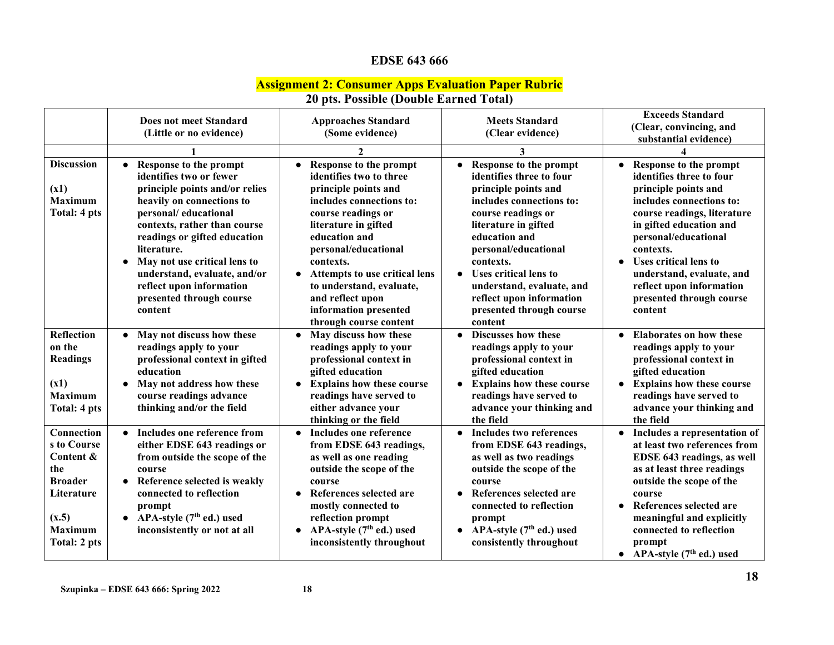# **EDSE 643 666**

#### **Assignment 2: Consumer Apps Evaluation Paper Rubric**

|                                                                                                                          | Does not meet Standard<br>(Little or no evidence)                                                                                                                                                                                                                                                                                                                       | <b>Approaches Standard</b><br>(Some evidence)                                                                                                                                                                                                                                                                                                 | <b>Meets Standard</b><br>(Clear evidence)                                                                                                                                                                                                                                                                                               | <b>Exceeds Standard</b><br>(Clear, convincing, and<br>substantial evidence)                                                                                                                                                                                                                                                    |
|--------------------------------------------------------------------------------------------------------------------------|-------------------------------------------------------------------------------------------------------------------------------------------------------------------------------------------------------------------------------------------------------------------------------------------------------------------------------------------------------------------------|-----------------------------------------------------------------------------------------------------------------------------------------------------------------------------------------------------------------------------------------------------------------------------------------------------------------------------------------------|-----------------------------------------------------------------------------------------------------------------------------------------------------------------------------------------------------------------------------------------------------------------------------------------------------------------------------------------|--------------------------------------------------------------------------------------------------------------------------------------------------------------------------------------------------------------------------------------------------------------------------------------------------------------------------------|
|                                                                                                                          |                                                                                                                                                                                                                                                                                                                                                                         | 2                                                                                                                                                                                                                                                                                                                                             | 3                                                                                                                                                                                                                                                                                                                                       |                                                                                                                                                                                                                                                                                                                                |
| <b>Discussion</b><br>(x1)<br><b>Maximum</b><br>Total: 4 pts                                                              | Response to the prompt<br>$\bullet$<br>identifies two or fewer<br>principle points and/or relies<br>heavily on connections to<br>personal/educational<br>contexts, rather than course<br>readings or gifted education<br>literature.<br>May not use critical lens to<br>understand, evaluate, and/or<br>reflect upon information<br>presented through course<br>content | Response to the prompt<br>identifies two to three<br>principle points and<br>includes connections to:<br>course readings or<br>literature in gifted<br>education and<br>personal/educational<br>contexts.<br>Attempts to use critical lens<br>to understand, evaluate,<br>and reflect upon<br>information presented<br>through course content | • Response to the prompt<br>identifies three to four<br>principle points and<br>includes connections to:<br>course readings or<br>literature in gifted<br>education and<br>personal/educational<br>contexts.<br>• Uses critical lens to<br>understand, evaluate, and<br>reflect upon information<br>presented through course<br>content | Response to the prompt<br>identifies three to four<br>principle points and<br>includes connections to:<br>course readings, literature<br>in gifted education and<br>personal/educational<br>contexts.<br>Uses critical lens to<br>understand, evaluate, and<br>reflect upon information<br>presented through course<br>content |
| <b>Reflection</b><br>on the<br><b>Readings</b><br>(x1)<br><b>Maximum</b><br>Total: 4 pts                                 | May not discuss how these<br>readings apply to your<br>professional context in gifted<br>education<br>May not address how these<br>course readings advance<br>thinking and/or the field                                                                                                                                                                                 | May discuss how these<br>$\bullet$<br>readings apply to your<br>professional context in<br>gifted education<br><b>Explains how these course</b><br>readings have served to<br>either advance your<br>thinking or the field                                                                                                                    | • Discusses how these<br>readings apply to your<br>professional context in<br>gifted education<br><b>Explains how these course</b><br>readings have served to<br>advance your thinking and<br>the field                                                                                                                                 | <b>Elaborates on how these</b><br>readings apply to your<br>professional context in<br>gifted education<br><b>Explains how these course</b><br>readings have served to<br>advance your thinking and<br>the field                                                                                                               |
| Connection<br>s to Course<br>Content &<br>the<br><b>Broader</b><br>Literature<br>(x.5)<br><b>Maximum</b><br>Total: 2 pts | Includes one reference from<br>either EDSE 643 readings or<br>from outside the scope of the<br>course<br>Reference selected is weakly<br>connected to reflection<br>prompt<br>• APA-style $(7th$ ed.) used<br>inconsistently or not at all                                                                                                                              | Includes one reference<br>from EDSE 643 readings,<br>as well as one reading<br>outside the scope of the<br>course<br>References selected are<br>mostly connected to<br>reflection prompt<br>APA-style $(7th$ ed.) used<br>inconsistently throughout                                                                                           | Includes two references<br>$\bullet$<br>from EDSE 643 readings,<br>as well as two readings<br>outside the scope of the<br>course<br>References selected are<br>connected to reflection<br>prompt<br>• APA-style $(7th$ ed.) used<br>consistently throughout                                                                             | Includes a representation of<br>at least two references from<br>EDSE 643 readings, as well<br>as at least three readings<br>outside the scope of the<br>course<br>References selected are<br>meaningful and explicitly<br>connected to reflection<br>prompt<br>• APA-style $(7th$ ed.) used                                    |

# **20 pts. Possible (Double Earned Total)**

**Szupinka – EDSE 643 666: Spring 2022 18**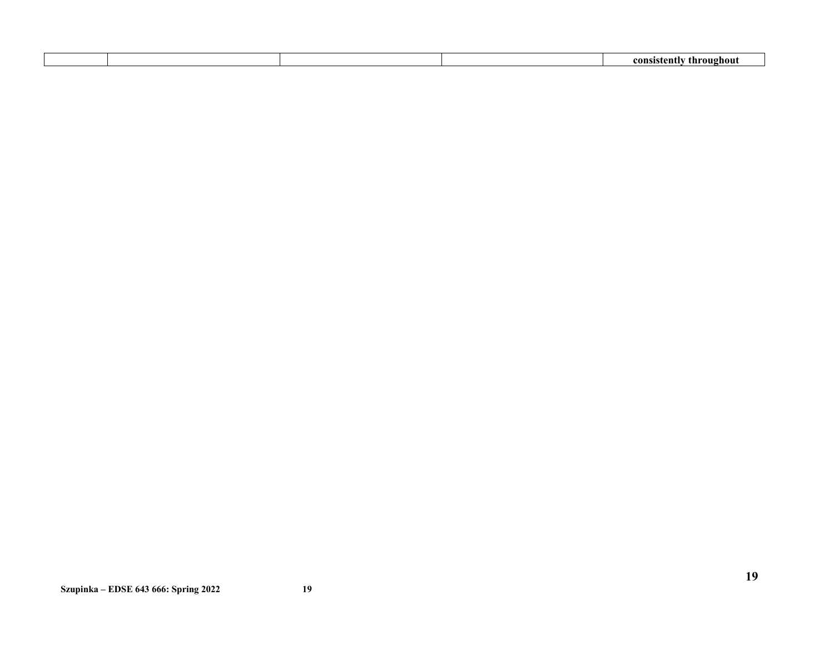|  |  | ear<br>᠁<br>$\cdots$<br>m |
|--|--|---------------------------|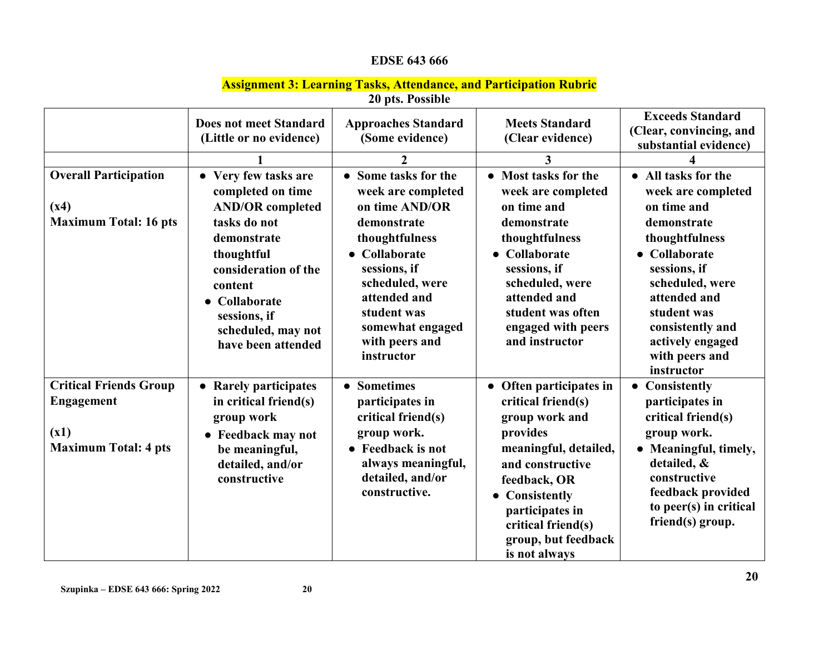# **EDSE 643 666**

# **Assignment 3: Learning Tasks, Attendance, and Participation Rubric**

**20 pts. Possible**

|                                                                                           | <b>Does not meet Standard</b><br>(Little or no evidence)                                                                                                                                                                                  | <b>Approaches Standard</b><br>(Some evidence)                                                                                                                                                                                                          | <b>Meets Standard</b><br>(Clear evidence)                                                                                                                                                                                                   | <b>Exceeds Standard</b><br>(Clear, convincing, and<br>substantial evidence)                                                                                                                                                                        |
|-------------------------------------------------------------------------------------------|-------------------------------------------------------------------------------------------------------------------------------------------------------------------------------------------------------------------------------------------|--------------------------------------------------------------------------------------------------------------------------------------------------------------------------------------------------------------------------------------------------------|---------------------------------------------------------------------------------------------------------------------------------------------------------------------------------------------------------------------------------------------|----------------------------------------------------------------------------------------------------------------------------------------------------------------------------------------------------------------------------------------------------|
| <b>Overall Participation</b><br>(x4)<br><b>Maximum Total: 16 pts</b>                      | • Very few tasks are<br>completed on time<br><b>AND/OR completed</b><br>tasks do not<br>demonstrate<br>thoughtful<br>consideration of the<br>content<br>$\bullet$ Collaborate<br>sessions, if<br>scheduled, may not<br>have been attended | $\overline{2}$<br>• Some tasks for the<br>week are completed<br>on time AND/OR<br>demonstrate<br>thoughtfulness<br>• Collaborate<br>sessions, if<br>scheduled, were<br>attended and<br>student was<br>somewhat engaged<br>with peers and<br>instructor | 3<br>• Most tasks for the<br>week are completed<br>on time and<br>demonstrate<br>thoughtfulness<br>• Collaborate<br>sessions, if<br>scheduled, were<br>attended and<br>student was often<br>engaged with peers<br>and instructor            | • All tasks for the<br>week are completed<br>on time and<br>demonstrate<br>thoughtfulness<br>Collaborate<br>sessions, if<br>scheduled, were<br>attended and<br>student was<br>consistently and<br>actively engaged<br>with peers and<br>instructor |
| <b>Critical Friends Group</b><br><b>Engagement</b><br>(x1)<br><b>Maximum Total: 4 pts</b> | • Rarely participates<br>in critical friend(s)<br>group work<br>• Feedback may not<br>be meaningful,<br>detailed, and/or<br>constructive                                                                                                  | <b>Sometimes</b><br>$\bullet$<br>participates in<br>critical friend(s)<br>group work.<br>• Feedback is not<br>always meaningful,<br>detailed, and/or<br>constructive.                                                                                  | • Often participates in<br>critical friend(s)<br>group work and<br>provides<br>meaningful, detailed,<br>and constructive<br>feedback, OR<br>• Consistently<br>participates in<br>critical friend(s)<br>group, but feedback<br>is not always | <b>Consistently</b><br>$\bullet$<br>participates in<br>critical friend(s)<br>group work.<br>• Meaningful, timely,<br>detailed, &<br>constructive<br>feedback provided<br>to peer(s) in critical<br>friend(s) group.                                |